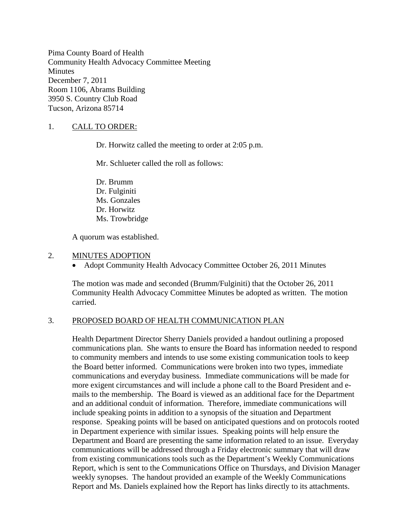Pima County Board of Health Community Health Advocacy Committee Meeting **Minutes** December 7, 2011 Room 1106, Abrams Building 3950 S. Country Club Road Tucson, Arizona 85714

## 1. CALL TO ORDER:

Dr. Horwitz called the meeting to order at 2:05 p.m.

Mr. Schlueter called the roll as follows:

Dr. Brumm Dr. Fulginiti Ms. Gonzales Dr. Horwitz Ms. Trowbridge

A quorum was established.

#### 2. MINUTES ADOPTION

• Adopt Community Health Advocacy Committee October 26, 2011 Minutes

The motion was made and seconded (Brumm/Fulginiti) that the October 26, 2011 Community Health Advocacy Committee Minutes be adopted as written. The motion carried.

### 3. PROPOSED BOARD OF HEALTH COMMUNICATION PLAN

Health Department Director Sherry Daniels provided a handout outlining a proposed communications plan. She wants to ensure the Board has information needed to respond to community members and intends to use some existing communication tools to keep the Board better informed. Communications were broken into two types, immediate communications and everyday business. Immediate communications will be made for more exigent circumstances and will include a phone call to the Board President and emails to the membership. The Board is viewed as an additional face for the Department and an additional conduit of information. Therefore, immediate communications will include speaking points in addition to a synopsis of the situation and Department response. Speaking points will be based on anticipated questions and on protocols rooted in Department experience with similar issues. Speaking points will help ensure the Department and Board are presenting the same information related to an issue. Everyday communications will be addressed through a Friday electronic summary that will draw from existing communications tools such as the Department's Weekly Communications Report, which is sent to the Communications Office on Thursdays, and Division Manager weekly synopses. The handout provided an example of the Weekly Communications Report and Ms. Daniels explained how the Report has links directly to its attachments.